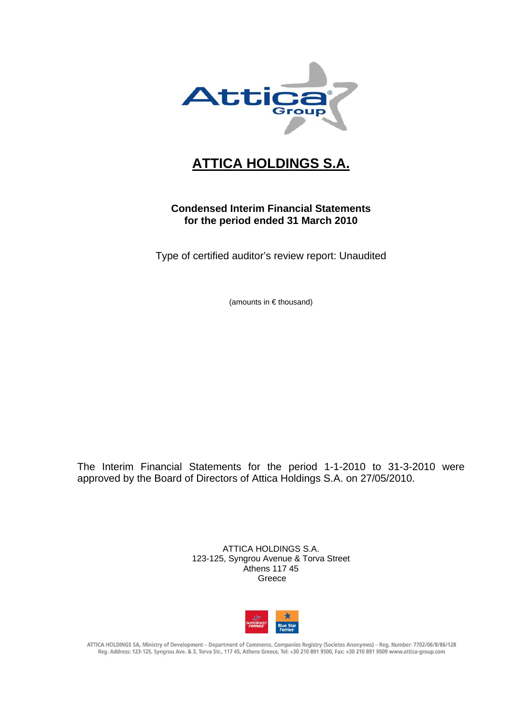

# **ATTICA HOLDINGS S.A.**

## **Condensed Interim Financial Statements for the period ended 31 March 2010**

Type of certified auditor's review report: Unaudited

(amounts in € thousand)

The Interim Financial Statements for the period 1-1-2010 to 31-3-2010 were approved by the Board of Directors of Attica Holdings S.A. on 27/05/2010.

> ATTICA HOLDINGS S.A. 123-125, Syngrou Avenue & Torva Street Athens 117 45 Greece



ATTICA HOLDINGS SA, Ministry of Development - Department of Commerce, Companies Registry (Societes Anonymes) - Reg. Number: 7702/06/B/86/128 Reg. Address: 123-125, Syngrou Ave. & 3, Torva Str., 117 45, Athens Greece, Tel: +30 210 891 9500, Fax: +30 210 891 9509 www.attica-group.com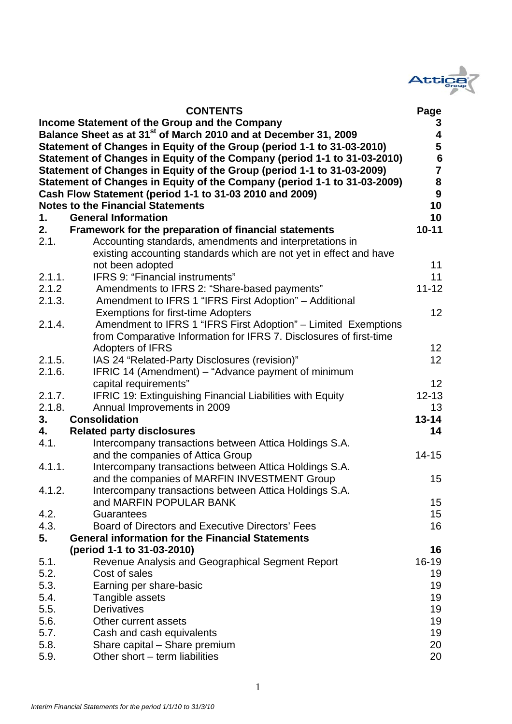

| <b>CONTENTS</b>                                                                             | Page                    |
|---------------------------------------------------------------------------------------------|-------------------------|
| Income Statement of the Group and the Company                                               | 3                       |
| Balance Sheet as at 31 <sup>st</sup> of March 2010 and at December 31, 2009                 | $\overline{\mathbf{4}}$ |
| Statement of Changes in Equity of the Group (period 1-1 to 31-03-2010)                      | $\overline{\mathbf{5}}$ |
| Statement of Changes in Equity of the Company (period 1-1 to 31-03-2010)                    |                         |
| Statement of Changes in Equity of the Group (period 1-1 to 31-03-2009)                      | $\frac{6}{7}$           |
| Statement of Changes in Equity of the Company (period 1-1 to 31-03-2009)                    | 8                       |
| Cash Flow Statement (period 1-1 to 31-03 2010 and 2009)                                     | $\boldsymbol{9}$        |
| <b>Notes to the Financial Statements</b>                                                    | 10                      |
| <b>General Information</b><br>1.                                                            | 10                      |
| 2.<br>Framework for the preparation of financial statements                                 | $10 - 11$               |
| Accounting standards, amendments and interpretations in<br>2.1.                             |                         |
| existing accounting standards which are not yet in effect and have                          |                         |
| not been adopted                                                                            | 11                      |
| IFRS 9: "Financial instruments"<br>2.1.1.                                                   | 11                      |
| 2.1.2<br>Amendments to IFRS 2: "Share-based payments"                                       | $11 - 12$               |
| 2.1.3.<br>Amendment to IFRS 1 "IFRS First Adoption" - Additional                            |                         |
| <b>Exemptions for first-time Adopters</b>                                                   | 12                      |
| Amendment to IFRS 1 "IFRS First Adoption" - Limited Exemptions<br>2.1.4.                    |                         |
| from Comparative Information for IFRS 7. Disclosures of first-time                          |                         |
| <b>Adopters of IFRS</b>                                                                     | 12                      |
| IAS 24 "Related-Party Disclosures (revision)"<br>2.1.5.                                     | 12                      |
| IFRIC 14 (Amendment) – "Advance payment of minimum<br>2.1.6.                                |                         |
| capital requirements"                                                                       | 12                      |
| 2.1.7.<br><b>IFRIC 19: Extinguishing Financial Liabilities with Equity</b>                  | $12 - 13$               |
| 2.1.8.<br>Annual Improvements in 2009                                                       | 13                      |
| 3.<br><b>Consolidation</b>                                                                  | $13 - 14$               |
| 4.<br><b>Related party disclosures</b>                                                      | 14                      |
| 4.1.<br>Intercompany transactions between Attica Holdings S.A.                              |                         |
| and the companies of Attica Group                                                           | $14 - 15$               |
| 4.1.1.<br>Intercompany transactions between Attica Holdings S.A.                            |                         |
| and the companies of MARFIN INVESTMENT Group                                                | 15                      |
| 4.1.2.<br>Intercompany transactions between Attica Holdings S.A.<br>and MARFIN POPULAR BANK |                         |
| 4.2.<br>Guarantees                                                                          | 15<br>15                |
| 4.3.<br>Board of Directors and Executive Directors' Fees                                    | 16                      |
| 5.<br><b>General information for the Financial Statements</b>                               |                         |
| (period 1-1 to 31-03-2010)                                                                  | 16                      |
| Revenue Analysis and Geographical Segment Report<br>5.1.                                    | 16-19                   |
| 5.2.<br>Cost of sales                                                                       | 19                      |
| 5.3.<br>Earning per share-basic                                                             | 19                      |
| 5.4.<br>Tangible assets                                                                     | 19                      |
| <b>Derivatives</b><br>5.5.                                                                  | 19                      |
| 5.6.<br>Other current assets                                                                | 19                      |
| 5.7.<br>Cash and cash equivalents                                                           | 19                      |
| 5.8.<br>Share capital - Share premium                                                       | 20                      |
| 5.9.<br>Other short - term liabilities                                                      | 20                      |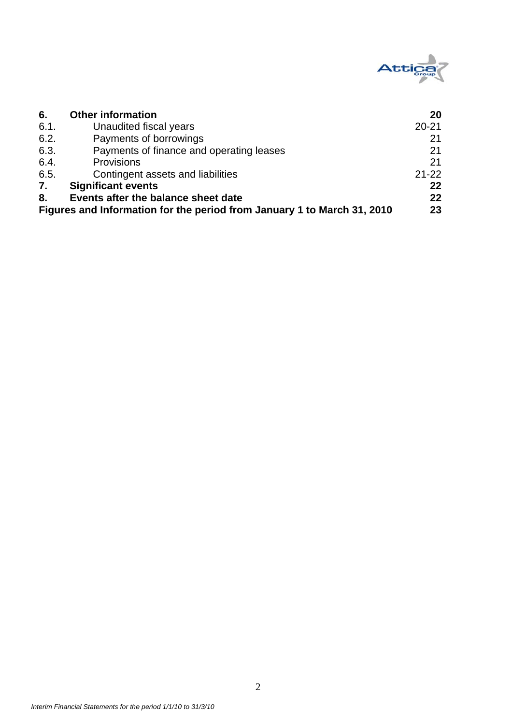

| 6.   | <b>Other information</b>                                                | 20        |
|------|-------------------------------------------------------------------------|-----------|
| 6.1. | Unaudited fiscal years                                                  | $20 - 21$ |
| 6.2. | Payments of borrowings                                                  | 21        |
| 6.3. | Payments of finance and operating leases                                | 21        |
| 6.4. | Provisions                                                              | 21        |
| 6.5. | Contingent assets and liabilities                                       | $21 - 22$ |
| 7.   | <b>Significant events</b>                                               | $22 \,$   |
| 8.   | Events after the balance sheet date                                     | $22 \,$   |
|      | Figures and Information for the period from January 1 to March 31, 2010 | 23        |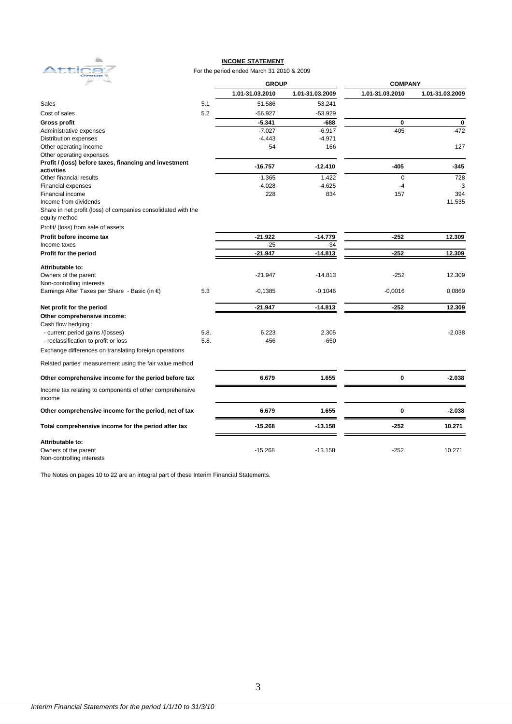

#### **INCOME STATEMENT**

#### For the period ended March 31 2010 & 2009

|                                                                    | $\frac{1}{2}$<br><b>GROUP</b> |                 |                 | <b>COMPANY</b>  |                 |  |  |
|--------------------------------------------------------------------|-------------------------------|-----------------|-----------------|-----------------|-----------------|--|--|
|                                                                    |                               | 1.01-31.03.2010 | 1.01-31.03.2009 | 1.01-31.03.2010 | 1.01-31.03.2009 |  |  |
| <b>Sales</b>                                                       | 5.1                           | 51.586          | 53.241          |                 |                 |  |  |
| Cost of sales                                                      | 5.2                           | $-56.927$       | $-53.929$       |                 |                 |  |  |
| <b>Gross profit</b>                                                |                               | $-5.341$        | -688            | $\mathbf 0$     | $\mathbf 0$     |  |  |
| Administrative expenses                                            |                               | $-7.027$        | $-6.917$        | $-405$          | $-472$          |  |  |
| Distribution expenses                                              |                               | $-4.443$        | $-4.971$        |                 |                 |  |  |
| Other operating income                                             |                               | 54              | 166             |                 | 127             |  |  |
| Other operating expenses                                           |                               |                 |                 |                 |                 |  |  |
| Profit / (loss) before taxes, financing and investment             |                               |                 |                 |                 |                 |  |  |
| activities                                                         |                               | $-16.757$       | $-12.410$       | $-405$          | $-345$          |  |  |
| Other financial results                                            |                               | $-1.365$        | 1.422           | $\mathbf 0$     | 728             |  |  |
| <b>Financial expenses</b>                                          |                               | $-4.028$        | $-4.625$        | $-4$            | -3              |  |  |
| Financial income                                                   |                               | 228             | 834             | 157             | 394             |  |  |
| Income from dividends                                              |                               |                 |                 |                 | 11.535          |  |  |
| Share in net profit (loss) of companies consolidated with the      |                               |                 |                 |                 |                 |  |  |
| equity method                                                      |                               |                 |                 |                 |                 |  |  |
| Profit/ (loss) from sale of assets                                 |                               |                 |                 |                 |                 |  |  |
| Profit before income tax                                           |                               | $-21.922$       | $-14.779$       | $-252$          | 12.309          |  |  |
| Income taxes                                                       |                               | $-25$           | $-34$           |                 |                 |  |  |
| Profit for the period                                              |                               | $-21.947$       | $-14.813$       | $-252$          | 12.309          |  |  |
| Attributable to:                                                   |                               |                 |                 |                 |                 |  |  |
| Owners of the parent                                               |                               | $-21.947$       | $-14.813$       | $-252$          | 12.309          |  |  |
| Non-controlling interests                                          |                               |                 |                 |                 |                 |  |  |
| Earnings After Taxes per Share - Basic (in €)                      | 5.3                           | $-0,1385$       | $-0,1046$       | $-0,0016$       | 0,0869          |  |  |
| Net profit for the period                                          |                               | $-21.947$       | $-14.813$       | $-252$          | 12.309          |  |  |
| Other comprehensive income:                                        |                               |                 |                 |                 |                 |  |  |
| Cash flow hedging:                                                 |                               |                 |                 |                 |                 |  |  |
| - current period gains /(losses)                                   | 5.8.                          | 6.223           | 2.305           |                 | $-2.038$        |  |  |
| - reclassification to profit or loss                               | 5.8.                          | 456             | $-650$          |                 |                 |  |  |
| Exchange differences on translating foreign operations             |                               |                 |                 |                 |                 |  |  |
| Related parties' measurement using the fair value method           |                               |                 |                 |                 |                 |  |  |
| Other comprehensive income for the period before tax               |                               | 6.679           | 1.655           | 0               | $-2.038$        |  |  |
| Income tax relating to components of other comprehensive<br>income |                               |                 |                 |                 |                 |  |  |
| Other comprehensive income for the period, net of tax              |                               | 6.679           | 1.655           | 0               | $-2.038$        |  |  |
| Total comprehensive income for the period after tax                |                               | $-15.268$       | $-13.158$       | $-252$          | 10.271          |  |  |
| Attributable to:                                                   |                               |                 |                 |                 |                 |  |  |
| Owners of the parent                                               |                               | $-15.268$       | $-13.158$       | $-252$          | 10.271          |  |  |
| Non-controlling interests                                          |                               |                 |                 |                 |                 |  |  |

The Notes on pages 10 to 22 are an integral part of these Interim Financial Statements.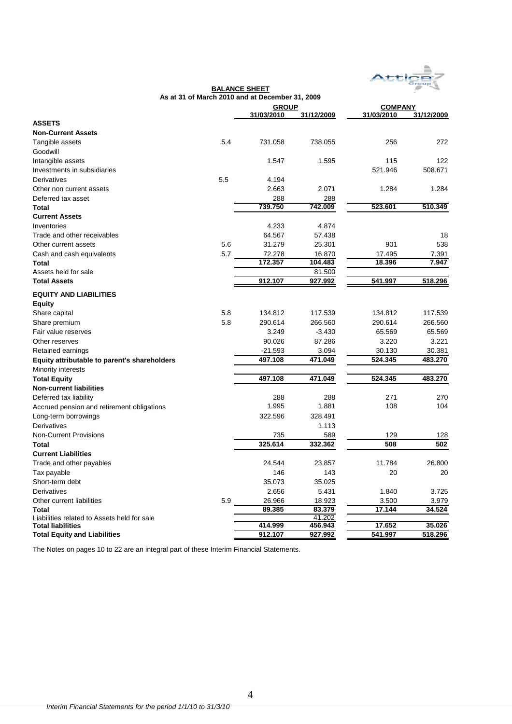

| <b>GROUP</b><br><b>COMPANY</b><br>31/03/2010<br>31/03/2010<br>31/12/2009<br><b>ASSETS</b><br><b>Non-Current Assets</b><br>5.4<br>731.058<br>256<br>Tangible assets<br>738.055<br>Goodwill<br>Intangible assets<br>1.547<br>1.595<br>115<br>521.946<br>Investments in subsidiaries<br>5.5<br>4.194<br>Derivatives<br>2.663<br>2.071<br>1.284<br>Other non current assets<br>Deferred tax asset<br>288<br>288<br>739.750<br>742.009<br>523.601<br>Total<br><b>Current Assets</b><br>4.233<br>4.874<br>Inventories<br>Trade and other receivables<br>57.438<br>64.567<br>5.6<br>31.279<br>25.301<br>901<br>Other current assets<br>5.7<br>72.278<br>17.495<br>7.391<br>Cash and cash equivalents<br>16.870<br>172.357<br>18.396<br>104.483<br>Total<br>Assets held for sale<br>81.500<br>927.992<br>518.296<br><b>Total Assets</b><br>912.107<br>541.997<br><b>EQUITY AND LIABILITIES</b><br><b>Equity</b><br>5.8<br>134.812<br>117.539<br>134.812<br>Share capital<br>5.8<br>266.560<br>Share premium<br>290.614<br>290.614<br>Fair value reserves<br>3.249<br>$-3.430$<br>65.569<br>87.286<br>90.026<br>3.220<br>Other reserves<br>Retained earnings<br>$-21.593$<br>3.094<br>30.130<br>524.345<br>497.108<br>471.049<br><b>Equity attributable to parent's shareholders</b><br>Minority interests<br>497.108<br>471.049<br>524.345<br><b>Total Equity</b><br><b>Non-current liabilities</b> |                        | As at 31 of March 2010 and at December 31, 2009 |     |     |            |
|---------------------------------------------------------------------------------------------------------------------------------------------------------------------------------------------------------------------------------------------------------------------------------------------------------------------------------------------------------------------------------------------------------------------------------------------------------------------------------------------------------------------------------------------------------------------------------------------------------------------------------------------------------------------------------------------------------------------------------------------------------------------------------------------------------------------------------------------------------------------------------------------------------------------------------------------------------------------------------------------------------------------------------------------------------------------------------------------------------------------------------------------------------------------------------------------------------------------------------------------------------------------------------------------------------------------------------------------------------------------------------------------|------------------------|-------------------------------------------------|-----|-----|------------|
|                                                                                                                                                                                                                                                                                                                                                                                                                                                                                                                                                                                                                                                                                                                                                                                                                                                                                                                                                                                                                                                                                                                                                                                                                                                                                                                                                                                             |                        |                                                 |     |     |            |
|                                                                                                                                                                                                                                                                                                                                                                                                                                                                                                                                                                                                                                                                                                                                                                                                                                                                                                                                                                                                                                                                                                                                                                                                                                                                                                                                                                                             |                        |                                                 |     |     | 31/12/2009 |
|                                                                                                                                                                                                                                                                                                                                                                                                                                                                                                                                                                                                                                                                                                                                                                                                                                                                                                                                                                                                                                                                                                                                                                                                                                                                                                                                                                                             |                        |                                                 |     |     |            |
|                                                                                                                                                                                                                                                                                                                                                                                                                                                                                                                                                                                                                                                                                                                                                                                                                                                                                                                                                                                                                                                                                                                                                                                                                                                                                                                                                                                             |                        |                                                 |     |     |            |
|                                                                                                                                                                                                                                                                                                                                                                                                                                                                                                                                                                                                                                                                                                                                                                                                                                                                                                                                                                                                                                                                                                                                                                                                                                                                                                                                                                                             |                        |                                                 |     |     | 272        |
|                                                                                                                                                                                                                                                                                                                                                                                                                                                                                                                                                                                                                                                                                                                                                                                                                                                                                                                                                                                                                                                                                                                                                                                                                                                                                                                                                                                             |                        |                                                 |     |     |            |
|                                                                                                                                                                                                                                                                                                                                                                                                                                                                                                                                                                                                                                                                                                                                                                                                                                                                                                                                                                                                                                                                                                                                                                                                                                                                                                                                                                                             |                        |                                                 |     |     | 122        |
|                                                                                                                                                                                                                                                                                                                                                                                                                                                                                                                                                                                                                                                                                                                                                                                                                                                                                                                                                                                                                                                                                                                                                                                                                                                                                                                                                                                             |                        |                                                 |     |     | 508.671    |
|                                                                                                                                                                                                                                                                                                                                                                                                                                                                                                                                                                                                                                                                                                                                                                                                                                                                                                                                                                                                                                                                                                                                                                                                                                                                                                                                                                                             |                        |                                                 |     |     |            |
|                                                                                                                                                                                                                                                                                                                                                                                                                                                                                                                                                                                                                                                                                                                                                                                                                                                                                                                                                                                                                                                                                                                                                                                                                                                                                                                                                                                             |                        |                                                 |     |     | 1.284      |
|                                                                                                                                                                                                                                                                                                                                                                                                                                                                                                                                                                                                                                                                                                                                                                                                                                                                                                                                                                                                                                                                                                                                                                                                                                                                                                                                                                                             |                        |                                                 |     |     |            |
|                                                                                                                                                                                                                                                                                                                                                                                                                                                                                                                                                                                                                                                                                                                                                                                                                                                                                                                                                                                                                                                                                                                                                                                                                                                                                                                                                                                             |                        |                                                 |     |     | 510.349    |
|                                                                                                                                                                                                                                                                                                                                                                                                                                                                                                                                                                                                                                                                                                                                                                                                                                                                                                                                                                                                                                                                                                                                                                                                                                                                                                                                                                                             |                        |                                                 |     |     |            |
|                                                                                                                                                                                                                                                                                                                                                                                                                                                                                                                                                                                                                                                                                                                                                                                                                                                                                                                                                                                                                                                                                                                                                                                                                                                                                                                                                                                             |                        |                                                 |     |     |            |
|                                                                                                                                                                                                                                                                                                                                                                                                                                                                                                                                                                                                                                                                                                                                                                                                                                                                                                                                                                                                                                                                                                                                                                                                                                                                                                                                                                                             |                        |                                                 |     |     | 18         |
|                                                                                                                                                                                                                                                                                                                                                                                                                                                                                                                                                                                                                                                                                                                                                                                                                                                                                                                                                                                                                                                                                                                                                                                                                                                                                                                                                                                             |                        |                                                 |     |     | 538        |
|                                                                                                                                                                                                                                                                                                                                                                                                                                                                                                                                                                                                                                                                                                                                                                                                                                                                                                                                                                                                                                                                                                                                                                                                                                                                                                                                                                                             |                        |                                                 |     |     |            |
|                                                                                                                                                                                                                                                                                                                                                                                                                                                                                                                                                                                                                                                                                                                                                                                                                                                                                                                                                                                                                                                                                                                                                                                                                                                                                                                                                                                             |                        |                                                 |     |     | 7.947      |
|                                                                                                                                                                                                                                                                                                                                                                                                                                                                                                                                                                                                                                                                                                                                                                                                                                                                                                                                                                                                                                                                                                                                                                                                                                                                                                                                                                                             |                        |                                                 |     |     |            |
|                                                                                                                                                                                                                                                                                                                                                                                                                                                                                                                                                                                                                                                                                                                                                                                                                                                                                                                                                                                                                                                                                                                                                                                                                                                                                                                                                                                             |                        |                                                 |     |     |            |
|                                                                                                                                                                                                                                                                                                                                                                                                                                                                                                                                                                                                                                                                                                                                                                                                                                                                                                                                                                                                                                                                                                                                                                                                                                                                                                                                                                                             |                        |                                                 |     |     |            |
|                                                                                                                                                                                                                                                                                                                                                                                                                                                                                                                                                                                                                                                                                                                                                                                                                                                                                                                                                                                                                                                                                                                                                                                                                                                                                                                                                                                             |                        |                                                 |     |     |            |
|                                                                                                                                                                                                                                                                                                                                                                                                                                                                                                                                                                                                                                                                                                                                                                                                                                                                                                                                                                                                                                                                                                                                                                                                                                                                                                                                                                                             |                        |                                                 |     |     |            |
|                                                                                                                                                                                                                                                                                                                                                                                                                                                                                                                                                                                                                                                                                                                                                                                                                                                                                                                                                                                                                                                                                                                                                                                                                                                                                                                                                                                             |                        |                                                 |     |     | 117.539    |
|                                                                                                                                                                                                                                                                                                                                                                                                                                                                                                                                                                                                                                                                                                                                                                                                                                                                                                                                                                                                                                                                                                                                                                                                                                                                                                                                                                                             |                        |                                                 |     |     | 266.560    |
|                                                                                                                                                                                                                                                                                                                                                                                                                                                                                                                                                                                                                                                                                                                                                                                                                                                                                                                                                                                                                                                                                                                                                                                                                                                                                                                                                                                             |                        |                                                 |     |     | 65.569     |
|                                                                                                                                                                                                                                                                                                                                                                                                                                                                                                                                                                                                                                                                                                                                                                                                                                                                                                                                                                                                                                                                                                                                                                                                                                                                                                                                                                                             |                        |                                                 |     |     | 3.221      |
|                                                                                                                                                                                                                                                                                                                                                                                                                                                                                                                                                                                                                                                                                                                                                                                                                                                                                                                                                                                                                                                                                                                                                                                                                                                                                                                                                                                             |                        |                                                 |     |     | 30.381     |
|                                                                                                                                                                                                                                                                                                                                                                                                                                                                                                                                                                                                                                                                                                                                                                                                                                                                                                                                                                                                                                                                                                                                                                                                                                                                                                                                                                                             |                        |                                                 |     |     | 483.270    |
|                                                                                                                                                                                                                                                                                                                                                                                                                                                                                                                                                                                                                                                                                                                                                                                                                                                                                                                                                                                                                                                                                                                                                                                                                                                                                                                                                                                             |                        |                                                 |     |     |            |
|                                                                                                                                                                                                                                                                                                                                                                                                                                                                                                                                                                                                                                                                                                                                                                                                                                                                                                                                                                                                                                                                                                                                                                                                                                                                                                                                                                                             |                        |                                                 |     |     | 483.270    |
|                                                                                                                                                                                                                                                                                                                                                                                                                                                                                                                                                                                                                                                                                                                                                                                                                                                                                                                                                                                                                                                                                                                                                                                                                                                                                                                                                                                             |                        |                                                 |     |     |            |
|                                                                                                                                                                                                                                                                                                                                                                                                                                                                                                                                                                                                                                                                                                                                                                                                                                                                                                                                                                                                                                                                                                                                                                                                                                                                                                                                                                                             | Deferred tax liability | 288                                             | 288 | 271 | 270        |
| 1.995<br>1.881<br>108<br>Accrued pension and retirement obligations                                                                                                                                                                                                                                                                                                                                                                                                                                                                                                                                                                                                                                                                                                                                                                                                                                                                                                                                                                                                                                                                                                                                                                                                                                                                                                                         |                        |                                                 |     |     | 104        |
| Long-term borrowings<br>322.596<br>328.491                                                                                                                                                                                                                                                                                                                                                                                                                                                                                                                                                                                                                                                                                                                                                                                                                                                                                                                                                                                                                                                                                                                                                                                                                                                                                                                                                  |                        |                                                 |     |     |            |
| Derivatives<br>1.113                                                                                                                                                                                                                                                                                                                                                                                                                                                                                                                                                                                                                                                                                                                                                                                                                                                                                                                                                                                                                                                                                                                                                                                                                                                                                                                                                                        |                        |                                                 |     |     |            |
| <b>Non-Current Provisions</b><br>129<br>735<br>589                                                                                                                                                                                                                                                                                                                                                                                                                                                                                                                                                                                                                                                                                                                                                                                                                                                                                                                                                                                                                                                                                                                                                                                                                                                                                                                                          |                        |                                                 |     |     | 128        |
| 325.614<br>508<br>332.362<br>Total                                                                                                                                                                                                                                                                                                                                                                                                                                                                                                                                                                                                                                                                                                                                                                                                                                                                                                                                                                                                                                                                                                                                                                                                                                                                                                                                                          |                        |                                                 |     |     | 502        |
| <b>Current Liabilities</b>                                                                                                                                                                                                                                                                                                                                                                                                                                                                                                                                                                                                                                                                                                                                                                                                                                                                                                                                                                                                                                                                                                                                                                                                                                                                                                                                                                  |                        |                                                 |     |     |            |
| Trade and other payables<br>24.544<br>23.857<br>11.784                                                                                                                                                                                                                                                                                                                                                                                                                                                                                                                                                                                                                                                                                                                                                                                                                                                                                                                                                                                                                                                                                                                                                                                                                                                                                                                                      |                        |                                                 |     |     | 26.800     |
| Tax payable<br>146<br>143<br>20                                                                                                                                                                                                                                                                                                                                                                                                                                                                                                                                                                                                                                                                                                                                                                                                                                                                                                                                                                                                                                                                                                                                                                                                                                                                                                                                                             |                        |                                                 |     |     | 20         |
| Short-term debt<br>35.073<br>35.025                                                                                                                                                                                                                                                                                                                                                                                                                                                                                                                                                                                                                                                                                                                                                                                                                                                                                                                                                                                                                                                                                                                                                                                                                                                                                                                                                         |                        |                                                 |     |     |            |
| 2.656<br>5.431<br>Derivatives                                                                                                                                                                                                                                                                                                                                                                                                                                                                                                                                                                                                                                                                                                                                                                                                                                                                                                                                                                                                                                                                                                                                                                                                                                                                                                                                                               |                        |                                                 |     |     |            |
| 1.840                                                                                                                                                                                                                                                                                                                                                                                                                                                                                                                                                                                                                                                                                                                                                                                                                                                                                                                                                                                                                                                                                                                                                                                                                                                                                                                                                                                       |                        |                                                 |     |     | 3.725      |
| 5.9<br>Other current liabilities<br>26.966<br>18.923<br>3.500                                                                                                                                                                                                                                                                                                                                                                                                                                                                                                                                                                                                                                                                                                                                                                                                                                                                                                                                                                                                                                                                                                                                                                                                                                                                                                                               |                        |                                                 |     |     | 3.979      |
| 83.379<br>17.144<br>89.385<br>Total<br>41.202<br>Liabilities related to Assets held for sale                                                                                                                                                                                                                                                                                                                                                                                                                                                                                                                                                                                                                                                                                                                                                                                                                                                                                                                                                                                                                                                                                                                                                                                                                                                                                                |                        |                                                 |     |     | 34.524     |
| 414.999<br>456.943<br>17.652<br><b>Total liabilities</b>                                                                                                                                                                                                                                                                                                                                                                                                                                                                                                                                                                                                                                                                                                                                                                                                                                                                                                                                                                                                                                                                                                                                                                                                                                                                                                                                    |                        |                                                 |     |     | 35.026     |
| 927.992<br><b>Total Equity and Liabilities</b><br>912.107<br>541.997                                                                                                                                                                                                                                                                                                                                                                                                                                                                                                                                                                                                                                                                                                                                                                                                                                                                                                                                                                                                                                                                                                                                                                                                                                                                                                                        |                        |                                                 |     |     | 518.296    |

**BALANCE SHEET**

The Notes on pages 10 to 22 are an integral part of these Interim Financial Statements.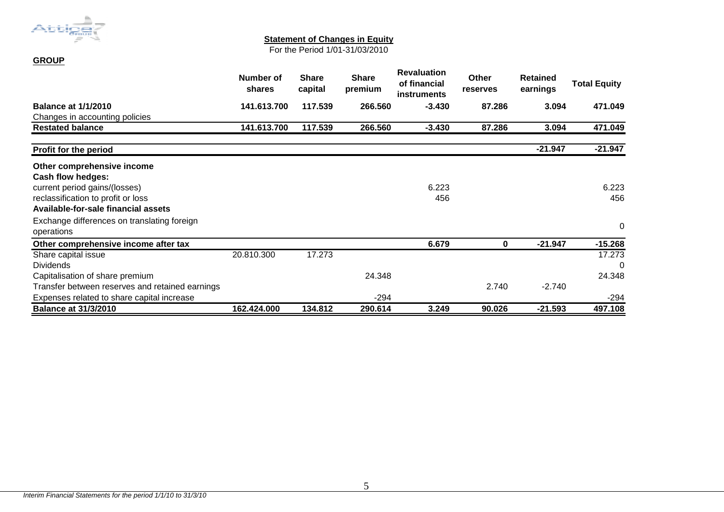

**GROUP**

### **Statement of Changes in Equity**

For the Period 1/01-31/03/2010

|                                                 | Number of<br>shares | <b>Share</b><br>capital | <b>Share</b><br>premium | <b>Revaluation</b><br>of financial<br><b>instruments</b> | <b>Other</b><br>reserves | <b>Retained</b><br>earnings | <b>Total Equity</b> |
|-------------------------------------------------|---------------------|-------------------------|-------------------------|----------------------------------------------------------|--------------------------|-----------------------------|---------------------|
| <b>Balance at 1/1/2010</b>                      | 141.613.700         | 117.539                 | 266,560                 | $-3.430$                                                 | 87.286                   | 3.094                       | 471.049             |
| Changes in accounting policies                  |                     |                         |                         |                                                          |                          |                             |                     |
| <b>Restated balance</b>                         | 141.613.700         | 117.539                 | 266.560                 | $-3.430$                                                 | 87.286                   | 3.094                       | 471.049             |
| Profit for the period                           |                     |                         |                         |                                                          |                          | $-21.947$                   | $-21.947$           |
| Other comprehensive income                      |                     |                         |                         |                                                          |                          |                             |                     |
| Cash flow hedges:                               |                     |                         |                         |                                                          |                          |                             |                     |
| current period gains/(losses)                   |                     |                         |                         | 6.223                                                    |                          |                             | 6.223               |
| reclassification to profit or loss              |                     |                         |                         | 456                                                      |                          |                             | 456                 |
| Available-for-sale financial assets             |                     |                         |                         |                                                          |                          |                             |                     |
| Exchange differences on translating foreign     |                     |                         |                         |                                                          |                          |                             | 0                   |
| operations                                      |                     |                         |                         |                                                          |                          |                             |                     |
| Other comprehensive income after tax            |                     |                         |                         | 6.679                                                    | 0                        | $-21.947$                   | $-15.268$           |
| Share capital issue                             | 20.810.300          | 17.273                  |                         |                                                          |                          |                             | 17.273              |
| <b>Dividends</b>                                |                     |                         |                         |                                                          |                          |                             | 0                   |
| Capitalisation of share premium                 |                     |                         | 24.348                  |                                                          |                          |                             | 24.348              |
| Transfer between reserves and retained earnings |                     |                         |                         |                                                          | 2.740                    | $-2.740$                    |                     |
| Expenses related to share capital increase      |                     |                         | $-294$                  |                                                          |                          |                             | $-294$              |
| <b>Balance at 31/3/2010</b>                     | 162.424.000         | 134.812                 | 290.614                 | 3.249                                                    | 90.026                   | $-21.593$                   | 497.108             |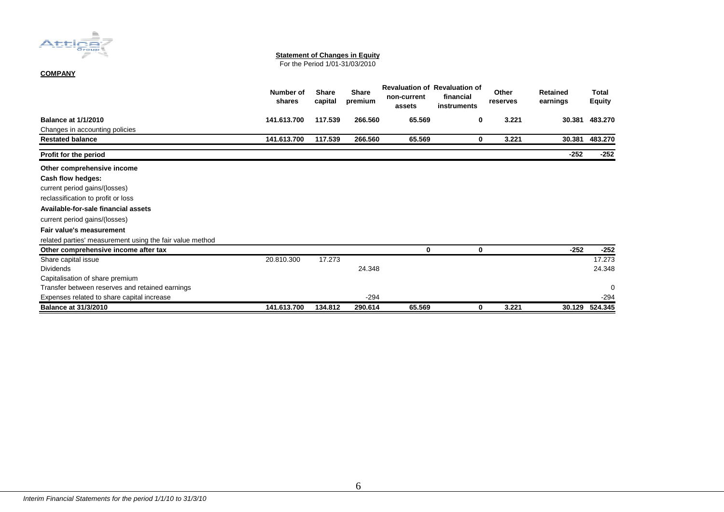

#### **Statement of Changes in Equity**

For the Period 1/01-31/03/2010

#### **COMPANY**

|                                                          | Number of<br>shares | <b>Share</b><br>capital | <b>Share</b><br>premium | non-current<br>assets | <b>Revaluation of Revaluation of</b><br>financial<br>instruments | Other<br>reserves | <b>Retained</b><br>earnings | Total<br>Equity |
|----------------------------------------------------------|---------------------|-------------------------|-------------------------|-----------------------|------------------------------------------------------------------|-------------------|-----------------------------|-----------------|
| <b>Balance at 1/1/2010</b>                               | 141.613.700         | 117.539                 | 266.560                 | 65.569                | 0                                                                | 3.221             | 30.381                      | 483.270         |
| Changes in accounting policies                           |                     |                         |                         |                       |                                                                  |                   |                             |                 |
| <b>Restated balance</b>                                  | 141.613.700         | 117.539                 | 266.560                 | 65.569                | 0                                                                | 3.221             | 30.381                      | 483.270         |
| Profit for the period                                    |                     |                         |                         |                       |                                                                  |                   | $-252$                      | $-252$          |
| Other comprehensive income                               |                     |                         |                         |                       |                                                                  |                   |                             |                 |
| Cash flow hedges:                                        |                     |                         |                         |                       |                                                                  |                   |                             |                 |
| current period gains/(losses)                            |                     |                         |                         |                       |                                                                  |                   |                             |                 |
| reclassification to profit or loss                       |                     |                         |                         |                       |                                                                  |                   |                             |                 |
| Available-for-sale financial assets                      |                     |                         |                         |                       |                                                                  |                   |                             |                 |
| current period gains/(losses)                            |                     |                         |                         |                       |                                                                  |                   |                             |                 |
| Fair value's measurement                                 |                     |                         |                         |                       |                                                                  |                   |                             |                 |
| related parties' measurement using the fair value method |                     |                         |                         |                       |                                                                  |                   |                             |                 |
| Other comprehensive income after tax                     |                     |                         |                         | 0                     | 0                                                                |                   | $-252$                      | -252            |
| Share capital issue                                      | 20.810.300          | 17.273                  |                         |                       |                                                                  |                   |                             | 17.273          |
| <b>Dividends</b>                                         |                     |                         | 24.348                  |                       |                                                                  |                   |                             | 24.348          |
| Capitalisation of share premium                          |                     |                         |                         |                       |                                                                  |                   |                             |                 |
| Transfer between reserves and retained earnings          |                     |                         |                         |                       |                                                                  |                   |                             | 0               |
| Expenses related to share capital increase               |                     |                         | $-294$                  |                       |                                                                  |                   |                             | $-294$          |
| <b>Balance at 31/3/2010</b>                              | 141.613.700         | 134.812                 | 290.614                 | 65.569                | 0                                                                | 3.221             | 30.129                      | 524.345         |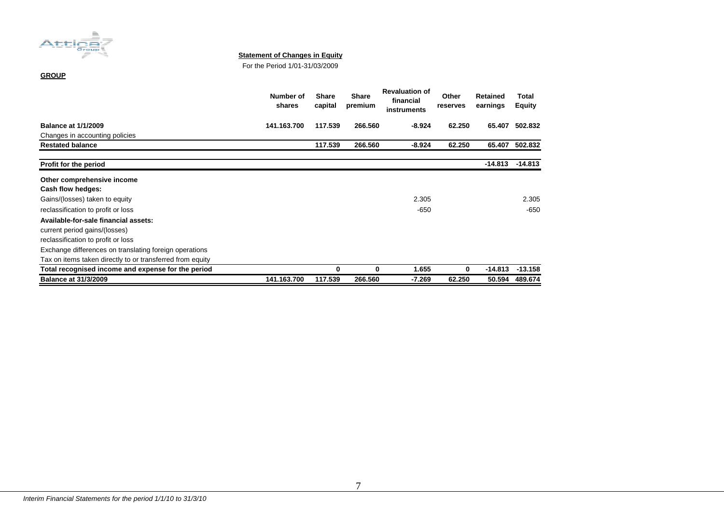

#### **Statement of Changes in Equity**

For the Period 1/01-31/03/2009

#### **GROUP**

|                                                           | Number of<br>shares | <b>Share</b><br>capital | <b>Share</b><br>premium | <b>Revaluation of</b><br>financial<br>instruments | Other<br>reserves | <b>Retained</b><br>earnings | Total<br><b>Equity</b> |
|-----------------------------------------------------------|---------------------|-------------------------|-------------------------|---------------------------------------------------|-------------------|-----------------------------|------------------------|
| <b>Balance at 1/1/2009</b>                                | 141.163.700         | 117.539                 | 266.560                 | $-8.924$                                          | 62.250            | 65.407                      | 502.832                |
| Changes in accounting policies                            |                     |                         |                         |                                                   |                   |                             |                        |
| <b>Restated balance</b>                                   |                     | 117.539                 | 266.560                 | $-8.924$                                          | 62.250            | 65.407                      | 502.832                |
| Profit for the period                                     |                     |                         |                         |                                                   |                   | $-14.813$                   | $-14.813$              |
| Other comprehensive income                                |                     |                         |                         |                                                   |                   |                             |                        |
| Cash flow hedges:                                         |                     |                         |                         |                                                   |                   |                             |                        |
| Gains/(losses) taken to equity                            |                     |                         |                         | 2.305                                             |                   |                             | 2.305                  |
| reclassification to profit or loss                        |                     |                         |                         | -650                                              |                   |                             | -650                   |
| Available-for-sale financial assets:                      |                     |                         |                         |                                                   |                   |                             |                        |
| current period gains/(losses)                             |                     |                         |                         |                                                   |                   |                             |                        |
| reclassification to profit or loss                        |                     |                         |                         |                                                   |                   |                             |                        |
| Exchange differences on translating foreign operations    |                     |                         |                         |                                                   |                   |                             |                        |
| Tax on items taken directly to or transferred from equity |                     |                         |                         |                                                   |                   |                             |                        |
| Total recognised income and expense for the period        |                     | 0                       | 0                       | 1.655                                             | $\bf{0}$          | $-14.813$                   | $-13.158$              |
| <b>Balance at 31/3/2009</b>                               | 141.163.700         | 117.539                 | 266.560                 | -7.269                                            | 62.250            | 50.594                      | 489.674                |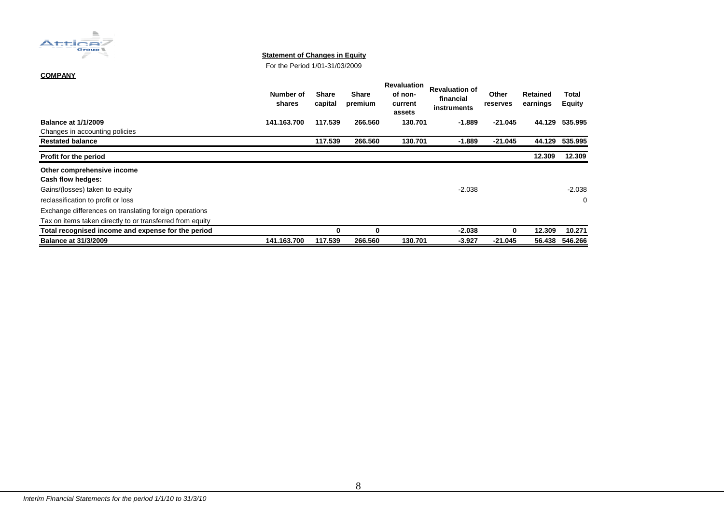

#### **Statement of Changes in Equity**

For the Period 1/01-31/03/2009

#### **COMPANY**

|                                                           | Number of<br>shares | <b>Share</b><br>capital | Share<br>premium | Revaluation<br>of non-<br>current<br>assets | <b>Revaluation of</b><br>financial<br>instruments | Other<br>reserves | <b>Retained</b><br>earnings | Total<br>Equity |
|-----------------------------------------------------------|---------------------|-------------------------|------------------|---------------------------------------------|---------------------------------------------------|-------------------|-----------------------------|-----------------|
| <b>Balance at 1/1/2009</b>                                | 141.163.700         | 117.539                 | 266.560          | 130.701                                     | -1.889                                            | $-21.045$         | 44.129                      | 535.995         |
| Changes in accounting policies                            |                     |                         |                  |                                             |                                                   |                   |                             |                 |
| <b>Restated balance</b>                                   |                     | 117.539                 | 266.560          | 130.701                                     | $-1.889$                                          | $-21.045$         | 44.129                      | 535.995         |
| <b>Profit for the period</b>                              |                     |                         |                  |                                             |                                                   |                   | 12.309                      | 12.309          |
| Other comprehensive income                                |                     |                         |                  |                                             |                                                   |                   |                             |                 |
| <b>Cash flow hedges:</b>                                  |                     |                         |                  |                                             |                                                   |                   |                             |                 |
| Gains/(losses) taken to equity                            |                     |                         |                  |                                             | $-2.038$                                          |                   |                             | $-2.038$        |
| reclassification to profit or loss                        |                     |                         |                  |                                             |                                                   |                   |                             |                 |
| Exchange differences on translating foreign operations    |                     |                         |                  |                                             |                                                   |                   |                             |                 |
| Tax on items taken directly to or transferred from equity |                     |                         |                  |                                             |                                                   |                   |                             |                 |
| Total recognised income and expense for the period        |                     | 0                       | 0                |                                             | $-2.038$                                          | 0                 | 12.309                      | 10.271          |
| <b>Balance at 31/3/2009</b>                               | 141.163.700         | 117.539                 | 266.560          | 130.701                                     | -3.927                                            | -21.045           | 56.438                      | 546.266         |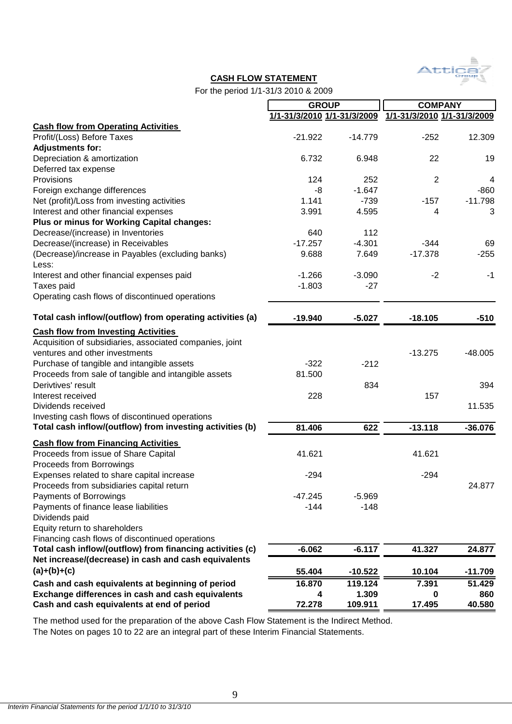

### **CASH FLOW STATEMENT**

For the period 1/1-31/3 2010 & 2009

|                                                           | <b>GROUP</b>                |           | <b>COMPANY</b>              |           |
|-----------------------------------------------------------|-----------------------------|-----------|-----------------------------|-----------|
|                                                           | 1/1-31/3/2010 1/1-31/3/2009 |           | 1/1-31/3/2010 1/1-31/3/2009 |           |
| <b>Cash flow from Operating Activities</b>                |                             |           |                             |           |
| Profit/(Loss) Before Taxes                                | $-21.922$                   | $-14.779$ | $-252$                      | 12.309    |
| <b>Adjustments for:</b>                                   |                             |           |                             |           |
| Depreciation & amortization                               | 6.732                       | 6.948     | 22                          | 19        |
| Deferred tax expense                                      |                             |           |                             |           |
| Provisions                                                | 124                         | 252       | $\overline{2}$              | 4         |
| Foreign exchange differences                              | -8                          | $-1.647$  |                             | $-860$    |
| Net (profit)/Loss from investing activities               | 1.141                       | $-739$    | $-157$                      | $-11.798$ |
| Interest and other financial expenses                     | 3.991                       | 4.595     | 4                           | 3         |
| Plus or minus for Working Capital changes:                |                             |           |                             |           |
| Decrease/(increase) in Inventories                        | 640                         | 112       |                             |           |
| Decrease/(increase) in Receivables                        | $-17.257$                   | $-4.301$  | $-344$                      | 69        |
| (Decrease)/increase in Payables (excluding banks)         | 9.688                       | 7.649     | $-17.378$                   | $-255$    |
| Less:                                                     |                             |           |                             |           |
| Interest and other financial expenses paid                | $-1.266$                    | $-3.090$  | $-2$                        | $-1$      |
| Taxes paid                                                | $-1.803$                    | $-27$     |                             |           |
| Operating cash flows of discontinued operations           |                             |           |                             |           |
|                                                           |                             |           |                             |           |
| Total cash inflow/(outflow) from operating activities (a) | $-19.940$                   | $-5.027$  | $-18.105$                   | $-510$    |
| <b>Cash flow from Investing Activities</b>                |                             |           |                             |           |
| Acquisition of subsidiaries, associated companies, joint  |                             |           |                             |           |
| ventures and other investments                            |                             |           | $-13.275$                   | $-48.005$ |
| Purchase of tangible and intangible assets                | $-322$                      | $-212$    |                             |           |
| Proceeds from sale of tangible and intangible assets      | 81.500                      |           |                             |           |
| Derivtives' result                                        |                             | 834       |                             | 394       |
| Interest received                                         | 228                         |           | 157                         |           |
| Dividends received                                        |                             |           |                             | 11.535    |
| Investing cash flows of discontinued operations           |                             |           |                             |           |
| Total cash inflow/(outflow) from investing activities (b) | 81.406                      | 622       | $-13.118$                   | $-36.076$ |
|                                                           |                             |           |                             |           |
| <b>Cash flow from Financing Activities</b>                |                             |           |                             |           |
| Proceeds from issue of Share Capital                      | 41.621                      |           | 41.621                      |           |
| Proceeds from Borrowings                                  |                             |           |                             |           |
| Expenses related to share capital increase                | $-294$                      |           | $-294$                      |           |
| Proceeds from subsidiaries capital return                 |                             |           |                             | 24.877    |
| Payments of Borrowings                                    | $-47.245$                   | $-5.969$  |                             |           |
| Payments of finance lease liabilities                     | $-144$                      | $-148$    |                             |           |
| Dividends paid                                            |                             |           |                             |           |
| Equity return to shareholders                             |                             |           |                             |           |
| Financing cash flows of discontinued operations           |                             |           |                             |           |
| Total cash inflow/(outflow) from financing activities (c) | $-6.062$                    | $-6.117$  | 41.327                      | 24.877    |
| Net increase/(decrease) in cash and cash equivalents      |                             |           |                             |           |
| $(a)+(b)+(c)$                                             | 55.404                      | $-10.522$ | 10.104                      | $-11.709$ |
| Cash and cash equivalents at beginning of period          | 16.870                      | 119.124   | 7.391                       | 51.429    |
| Exchange differences in cash and cash equivalents         | 4                           | 1.309     | O                           | 860       |
| Cash and cash equivalents at end of period                | 72.278                      | 109.911   | 17.495                      | 40.580    |

The Notes on pages 10 to 22 are an integral part of these Interim Financial Statements. The method used for the preparation of the above Cash Flow Statement is the Indirect Method.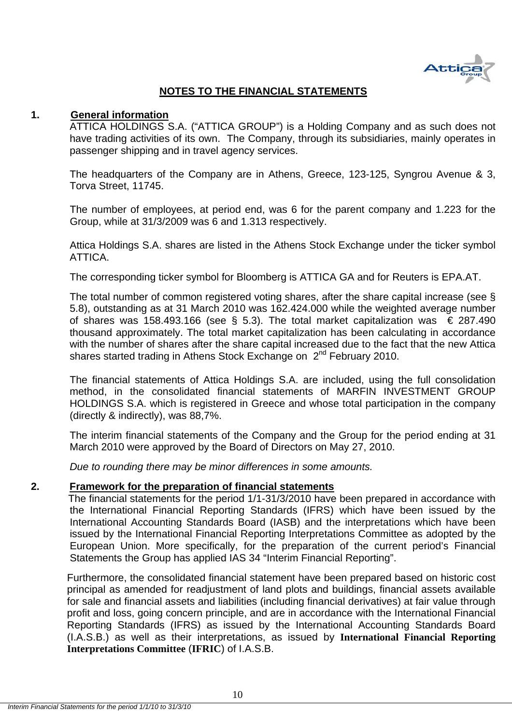

## **NOTES TO THE FINANCIAL STATEMENTS**

### **1. General information**

ATTICA HOLDINGS S.A. ("ATTICA GROUP") is a Holding Company and as such does not have trading activities of its own. The Company, through its subsidiaries, mainly operates in passenger shipping and in travel agency services.

The headquarters of the Company are in Athens, Greece, 123-125, Syngrou Avenue & 3, Torva Street, 11745.

The number of employees, at period end, was 6 for the parent company and 1.223 for the Group, while at 31/3/2009 was 6 and 1.313 respectively.

Attica Holdings S.A. shares are listed in the Athens Stock Exchange under the ticker symbol ATTICA.

The corresponding ticker symbol for Bloomberg is ATTICA GA and for Reuters is EPA.AT.

The total number of common registered voting shares, after the share capital increase (see § 5.8), outstanding as at 31 March 2010 was 162.424.000 while the weighted average number of shares was 158.493.166 (see § 5.3). The total market capitalization was  $\epsilon$  287.490 thousand approximately. The total market capitalization has been calculating in accordance with the number of shares after the share capital increased due to the fact that the new Attica shares started trading in Athens Stock Exchange on  $2^{nd}$  February 2010.

The financial statements of Attica Holdings S.A. are included, using the full consolidation method, in the consolidated financial statements of MARFIN INVESTMENT GROUP HOLDINGS S.A. which is registered in Greece and whose total participation in the company (directly & indirectly), was 88,7%.

The interim financial statements of the Company and the Group for the period ending at 31 March 2010 were approved by the Board of Directors on May 27, 2010.

*Due to rounding there may be minor differences in some amounts.* 

### **2. Framework for the preparation of financial statements**

 The financial statements for the period 1/1-31/3/2010 have been prepared in accordance with the International Financial Reporting Standards (IFRS) which have been issued by the International Accounting Standards Board (IASB) and the interpretations which have been issued by the International Financial Reporting Interpretations Committee as adopted by the European Union. More specifically, for the preparation of the current period's Financial Statements the Group has applied IAS 34 "Interim Financial Reporting".

Furthermore, the consolidated financial statement have been prepared based on historic cost principal as amended for readjustment of land plots and buildings, financial assets available for sale and financial assets and liabilities (including financial derivatives) at fair value through profit and loss, going concern principle, and are in accordance with the International Financial Reporting Standards (IFRS) as issued by the International Accounting Standards Board (I.A.S.B.) as well as their interpretations, as issued by **International Financial Reporting Interpretations Committee** (**IFRIC**) of I.A.S.B.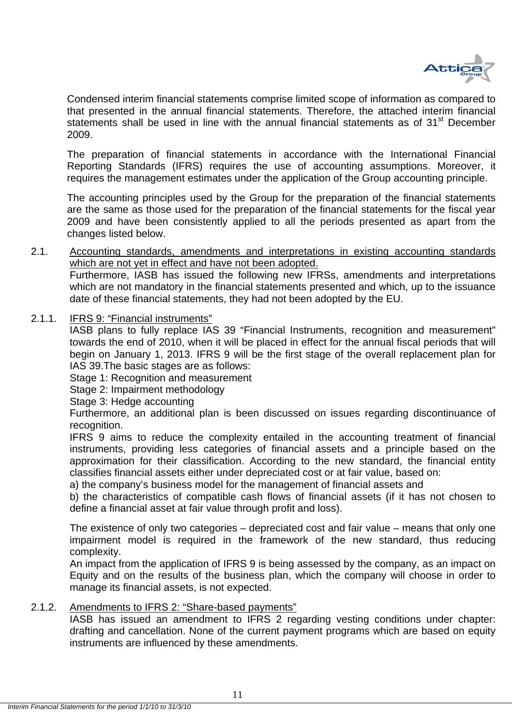

Condensed interim financial statements comprise limited scope of information as compared to that presented in the annual financial statements. Therefore, the attached interim financial statements shall be used in line with the annual financial statements as of 31<sup>st</sup> December 2009.

The preparation of financial statements in accordance with the International Financial Reporting Standards (IFRS) requires the use of accounting assumptions. Moreover, it requires the management estimates under the application of the Group accounting principle.

The accounting principles used by the Group for the preparation of the financial statements are the same as those used for the preparation of the financial statements for the fiscal year 2009 and have been consistently applied to all the periods presented as apart from the changes listed below.

2.1. Accounting standards, amendments and interpretations in existing accounting standards which are not yet in effect and have not been adopted.

Furthermore, IASB has issued the following new IFRSs, amendments and interpretations which are not mandatory in the financial statements presented and which, up to the issuance date of these financial statements, they had not been adopted by the EU.

2.1.1. IFRS 9: "Financial instruments"

IASB plans to fully replace IAS 39 "Financial Instruments, recognition and measurement" towards the end of 2010, when it will be placed in effect for the annual fiscal periods that will begin on January 1, 2013. IFRS 9 will be the first stage of the overall replacement plan for IAS 39.The basic stages are as follows:

Stage 1: Recognition and measurement

Stage 2: Impairment methodology

Stage 3: Hedge accounting

Furthermore, an additional plan is been discussed on issues regarding discontinuance of recognition.

IFRS 9 aims to reduce the complexity entailed in the accounting treatment of financial instruments, providing less categories of financial assets and a principle based on the approximation for their classification. According to the new standard, the financial entity classifies financial assets either under depreciated cost or at fair value, based on:

a) the company's business model for the management of financial assets and

b) the characteristics of compatible cash flows of financial assets (if it has not chosen to define a financial asset at fair value through profit and loss).

The existence of only two categories – depreciated cost and fair value – means that only one impairment model is required in the framework of the new standard, thus reducing complexity.

An impact from the application of IFRS 9 is being assessed by the company, as an impact on Equity and on the results of the business plan, which the company will choose in order to manage its financial assets, is not expected.

2.1.2. Amendments to IFRS 2: "Share-based payments"

IASB has issued an amendment to IFRS 2 regarding vesting conditions under chapter: drafting and cancellation. None of the current payment programs which are based on equity instruments are influenced by these amendments.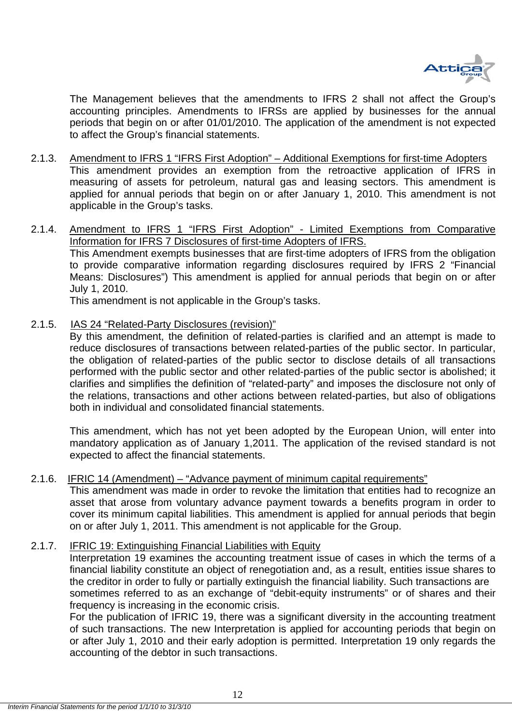

The Management believes that the amendments to IFRS 2 shall not affect the Group's accounting principles. Amendments to IFRSs are applied by businesses for the annual periods that begin on or after 01/01/2010. The application of the amendment is not expected to affect the Group's financial statements.

- 2.1.3. Amendment to IFRS 1 "IFRS First Adoption" Additional Exemptions for first-time Adopters This amendment provides an exemption from the retroactive application of IFRS in measuring of assets for petroleum, natural gas and leasing sectors. This amendment is applied for annual periods that begin on or after January 1, 2010. This amendment is not applicable in the Group's tasks.
- 2.1.4. Amendment to IFRS 1 "IFRS First Adoption" Limited Exemptions from Comparative Information for IFRS 7 Disclosures of first-time Adopters of IFRS. This Amendment exempts businesses that are first-time adopters of IFRS from the obligation to provide comparative information regarding disclosures required by IFRS 2 "Financial Means: Disclosures") This amendment is applied for annual periods that begin on or after July 1, 2010.

This amendment is not applicable in the Group's tasks.

2.1.5. IAS 24 "Related-Party Disclosures (revision)"

By this amendment, the definition of related-parties is clarified and an attempt is made to reduce disclosures of transactions between related-parties of the public sector. In particular, the obligation of related-parties of the public sector to disclose details of all transactions performed with the public sector and other related-parties of the public sector is abolished; it clarifies and simplifies the definition of "related-party" and imposes the disclosure not only of the relations, transactions and other actions between related-parties, but also of obligations both in individual and consolidated financial statements.

This amendment, which has not yet been adopted by the European Union, will enter into mandatory application as of January 1,2011. The application of the revised standard is not expected to affect the financial statements.

2.1.6. IFRIC 14 (Amendment) – "Advance payment of minimum capital requirements"

This amendment was made in order to revoke the limitation that entities had to recognize an asset that arose from voluntary advance payment towards a benefits program in order to cover its minimum capital liabilities. This amendment is applied for annual periods that begin on or after July 1, 2011. This amendment is not applicable for the Group.

### 2.1.7. IFRIC 19: Extinguishing Financial Liabilities with Equity

Interpretation 19 examines the accounting treatment issue of cases in which the terms of a financial liability constitute an object of renegotiation and, as a result, entities issue shares to the creditor in order to fully or partially extinguish the financial liability. Such transactions are sometimes referred to as an exchange of "debit-equity instruments" or of shares and their frequency is increasing in the economic crisis.

For the publication of IFRIC 19, there was a significant diversity in the accounting treatment of such transactions. The new Interpretation is applied for accounting periods that begin on or after July 1, 2010 and their early adoption is permitted. Interpretation 19 only regards the accounting of the debtor in such transactions.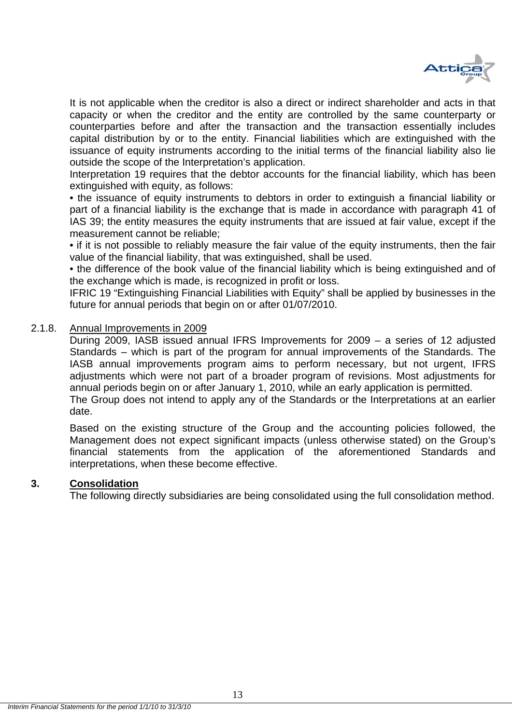

It is not applicable when the creditor is also a direct or indirect shareholder and acts in that capacity or when the creditor and the entity are controlled by the same counterparty or counterparties before and after the transaction and the transaction essentially includes capital distribution by or to the entity. Financial liabilities which are extinguished with the issuance of equity instruments according to the initial terms of the financial liability also lie outside the scope of the Interpretation's application.

Interpretation 19 requires that the debtor accounts for the financial liability, which has been extinguished with equity, as follows:

• the issuance of equity instruments to debtors in order to extinguish a financial liability or part of a financial liability is the exchange that is made in accordance with paragraph 41 of IAS 39; the entity measures the equity instruments that are issued at fair value, except if the measurement cannot be reliable;

• if it is not possible to reliably measure the fair value of the equity instruments, then the fair value of the financial liability, that was extinguished, shall be used.

• the difference of the book value of the financial liability which is being extinguished and of the exchange which is made, is recognized in profit or loss.

IFRIC 19 "Extinguishing Financial Liabilities with Equity" shall be applied by businesses in the future for annual periods that begin on or after 01/07/2010.

### 2.1.8. Annual Improvements in 2009

During 2009, IASB issued annual IFRS Improvements for 2009 – a series of 12 adjusted Standards – which is part of the program for annual improvements of the Standards. The IASB annual improvements program aims to perform necessary, but not urgent, IFRS adjustments which were not part of a broader program of revisions. Most adjustments for annual periods begin on or after January 1, 2010, while an early application is permitted. The Group does not intend to apply any of the Standards or the Interpretations at an earlier

date.

Based on the existing structure of the Group and the accounting policies followed, the Management does not expect significant impacts (unless otherwise stated) on the Group's financial statements from the application of the aforementioned Standards and interpretations, when these become effective.

### **3. Consolidation**

The following directly subsidiaries are being consolidated using the full consolidation method.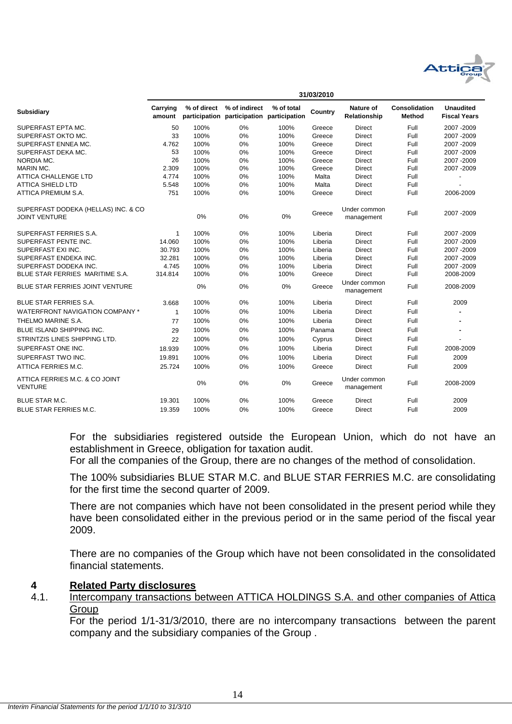

|                                                             | 3 1/U3/ZU I U      |             |                                                            |            |         |                            |                                       |                                         |
|-------------------------------------------------------------|--------------------|-------------|------------------------------------------------------------|------------|---------|----------------------------|---------------------------------------|-----------------------------------------|
| <b>Subsidiary</b>                                           | Carrying<br>amount | % of direct | % of indirect<br>participation participation participation | % of total | Country | Nature of<br>Relationship  | <b>Consolidation</b><br><b>Method</b> | <b>Unaudited</b><br><b>Fiscal Years</b> |
| SUPERFAST EPTA MC.                                          | 50                 | 100%        | 0%                                                         | 100%       | Greece  | <b>Direct</b>              | Full                                  | 2007 - 2009                             |
| SUPERFAST OKTO MC.                                          | 33                 | 100%        | 0%                                                         | 100%       | Greece  | <b>Direct</b>              | Full                                  | 2007-2009                               |
| SUPERFAST ENNEA MC.                                         | 4.762              | 100%        | 0%                                                         | 100%       | Greece  | <b>Direct</b>              | Full                                  | 2007 - 2009                             |
| SUPERFAST DEKA MC.                                          | 53                 | 100%        | 0%                                                         | 100%       | Greece  | <b>Direct</b>              | Full                                  | 2007 - 2009                             |
| NORDIA MC.                                                  | 26                 | 100%        | 0%                                                         | 100%       | Greece  | <b>Direct</b>              | Full                                  | 2007 - 2009                             |
| MARIN MC.                                                   | 2.309              | 100%        | 0%                                                         | 100%       | Greece  | <b>Direct</b>              | Full                                  | 2007 - 2009                             |
| <b>ATTICA CHALLENGE LTD</b>                                 | 4.774              | 100%        | 0%                                                         | 100%       | Malta   | <b>Direct</b>              | Full                                  |                                         |
| <b>ATTICA SHIELD LTD</b>                                    | 5.548              | 100%        | 0%                                                         | 100%       | Malta   | <b>Direct</b>              | Full                                  |                                         |
| ATTICA PREMIUM S.A.                                         | 751                | 100%        | 0%                                                         | 100%       | Greece  | Direct                     | Full                                  | 2006-2009                               |
| SUPERFAST DODEKA (HELLAS) INC. & CO<br><b>JOINT VENTURE</b> |                    | 0%          | 0%                                                         | 0%         | Greece  | Under common<br>management | Full                                  | 2007-2009                               |
| SUPERFAST FERRIES S.A.                                      | 1                  | 100%        | 0%                                                         | 100%       | Liberia | <b>Direct</b>              | Full                                  | 2007-2009                               |
| SUPERFAST PENTE INC.                                        | 14.060             | 100%        | 0%                                                         | 100%       | Liberia | <b>Direct</b>              | Full                                  | 2007-2009                               |
| SUPERFAST EXI INC.                                          | 30.793             | 100%        | 0%                                                         | 100%       | Liberia | <b>Direct</b>              | Full                                  | 2007-2009                               |
| SUPERFAST ENDEKA INC.                                       | 32.281             | 100%        | 0%                                                         | 100%       | Liberia | <b>Direct</b>              | Full                                  | 2007-2009                               |
| SUPERFAST DODEKA INC.                                       | 4.745              | 100%        | 0%                                                         | 100%       | Liberia | <b>Direct</b>              | Full                                  | 2007-2009                               |
| BLUE STAR FERRIES MARITIME S.A.                             | 314.814            | 100%        | 0%                                                         | 100%       | Greece  | <b>Direct</b>              | Full                                  | 2008-2009                               |
| BLUE STAR FERRIES JOINT VENTURE                             |                    | 0%          | 0%                                                         | 0%         | Greece  | Under common<br>management | Full                                  | 2008-2009                               |
| <b>BLUE STAR FERRIES S.A.</b>                               | 3.668              | 100%        | 0%                                                         | 100%       | Liberia | <b>Direct</b>              | Full                                  | 2009                                    |
| <b>WATERFRONT NAVIGATION COMPANY *</b>                      | $\mathbf{1}$       | 100%        | 0%                                                         | 100%       | Liberia | <b>Direct</b>              | Full                                  |                                         |
| THELMO MARINE S.A.                                          | 77                 | 100%        | 0%                                                         | 100%       | Liberia | <b>Direct</b>              | Full                                  |                                         |
| <b>BLUE ISLAND SHIPPING INC.</b>                            | 29                 | 100%        | 0%                                                         | 100%       | Panama  | <b>Direct</b>              | Full                                  |                                         |
| STRINTZIS LINES SHIPPING LTD.                               | 22                 | 100%        | 0%                                                         | 100%       | Cyprus  | <b>Direct</b>              | Full                                  |                                         |
| SUPERFAST ONE INC.                                          | 18.939             | 100%        | 0%                                                         | 100%       | Liberia | <b>Direct</b>              | Full                                  | 2008-2009                               |
| SUPERFAST TWO INC.                                          | 19.891             | 100%        | 0%                                                         | 100%       | Liberia | <b>Direct</b>              | Full                                  | 2009                                    |
| ATTICA FERRIES M.C.                                         | 25.724             | 100%        | 0%                                                         | 100%       | Greece  | <b>Direct</b>              | Full                                  | 2009                                    |
| ATTICA FERRIES M.C. & CO JOINT<br><b>VENTURE</b>            |                    | 0%          | 0%                                                         | 0%         | Greece  | Under common<br>management | Full                                  | 2008-2009                               |
| <b>BLUE STAR M.C.</b>                                       | 19.301             | 100%        | 0%                                                         | 100%       | Greece  | <b>Direct</b>              | Full                                  | 2009                                    |
| <b>BLUE STAR FERRIES M.C.</b>                               | 19.359             | 100%        | 0%                                                         | 100%       | Greece  | Direct                     | Full                                  | 2009                                    |

**31/03/2010**

For the subsidiaries registered outside the European Union, which do not have an establishment in Greece, obligation for taxation audit.

For all the companies of the Group, there are no changes of the method of consolidation.

The 100% subsidiaries BLUE STAR M.C. and BLUE STAR FERRIES M.C. are consolidating for the first time the second quarter of 2009.

There are not companies which have not been consolidated in the present period while they have been consolidated either in the previous period or in the same period of the fiscal year 2009.

There are no companies of the Group which have not been consolidated in the consolidated financial statements.

### **4 Related Party disclosures**

4.1. Intercompany transactions between ATTICA HOLDINGS S.A. and other companies of Attica **Group** 

For the period 1/1-31/3/2010, there are no intercompany transactions between the parent company and the subsidiary companies of the Group .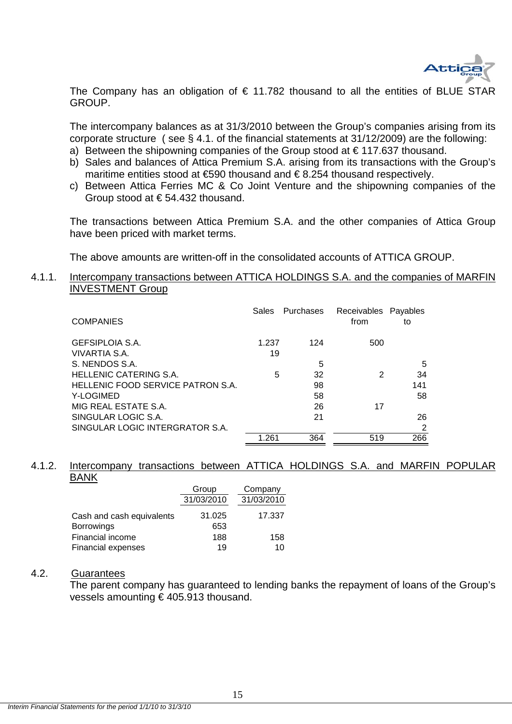

The Company has an obligation of  $\epsilon$  11.782 thousand to all the entities of BLUE STAR GROUP.

The intercompany balances as at 31/3/2010 between the Group's companies arising from its corporate structure ( see § 4.1. of the financial statements at 31/12/2009) are the following:

- a) Between the shipowning companies of the Group stood at  $\epsilon$  117.637 thousand.
- b) Sales and balances of Attica Premium S.A. arising from its transactions with the Group's maritime entities stood at €590 thousand and € 8.254 thousand respectively.
- c) Between Attica Ferries MC & Co Joint Venture and the shipowning companies of the Group stood at € 54.432 thousand.

The transactions between Attica Premium S.A. and the other companies of Attica Group have been priced with market terms.

The above amounts are written-off in the consolidated accounts of ATTICA GROUP.

### 4.1.1. Intercompany transactions between ATTICA HOLDINGS S.A. and the companies of MARFIN INVESTMENT Group

| <b>COMPANIES</b>                  | <b>Sales</b> | Purchases | Receivables Payables<br>from | to  |
|-----------------------------------|--------------|-----------|------------------------------|-----|
| GEFSIPLOIA S.A.                   | 1.237        | 124       | 500                          |     |
| VIVARTIA S.A.                     | 19           |           |                              |     |
| S. NENDOS S.A.                    |              | 5         |                              | 5   |
| <b>HELLENIC CATERING S.A.</b>     | 5            | 32        | 2                            | 34  |
| HELLENIC FOOD SERVICE PATRON S.A. |              | 98        |                              | 141 |
| Y-LOGIMED                         |              | 58        |                              | 58  |
| MIG REAL ESTATE S.A.              |              | 26        | 17                           |     |
| SINGULAR LOGIC S.A.               |              | 21        |                              | 26  |
| SINGULAR LOGIC INTERGRATOR S.A.   |              |           |                              | 2   |
|                                   | 1.261        | 364       | 519                          | 266 |

#### 4.1.2. Intercompany transactions between ATTICA HOLDINGS S.A. and MARFIN POPULAR BANK

|                           | Group      | Company    |
|---------------------------|------------|------------|
|                           | 31/03/2010 | 31/03/2010 |
| Cash and cash equivalents | 31.025     | 17.337     |
| <b>Borrowings</b>         | 653        |            |
| <b>Financial income</b>   | 188        | 158        |
| <b>Financial expenses</b> | 19         | 10         |

### 4.2. Guarantees

 The parent company has guaranteed to lending banks the repayment of loans of the Group's vessels amounting € 405.913 thousand.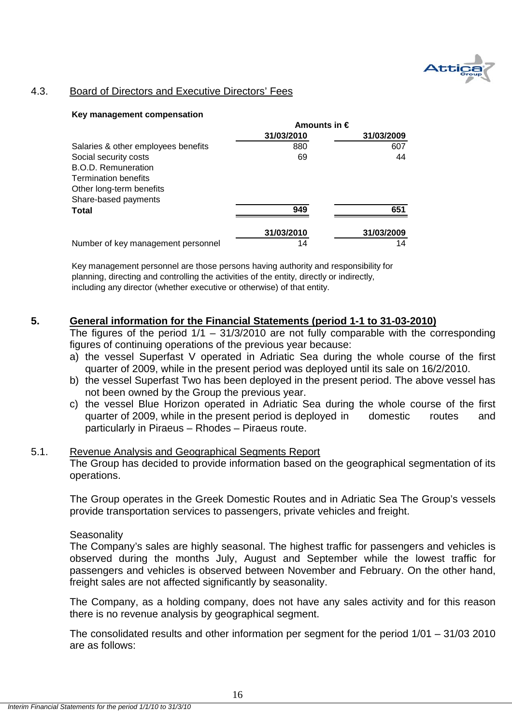

## 4.3. Board of Directors and Executive Directors' Fees

#### **Key management compensation**

|                                     | Amounts in $\epsilon$ |            |
|-------------------------------------|-----------------------|------------|
|                                     | 31/03/2010            | 31/03/2009 |
| Salaries & other employees benefits | 880                   | 607        |
| Social security costs               | 69                    | 44         |
| B.O.D. Remuneration                 |                       |            |
| <b>Termination benefits</b>         |                       |            |
| Other long-term benefits            |                       |            |
| Share-based payments                |                       |            |
| <b>Total</b>                        | 949                   | 651        |
|                                     | 31/03/2010            | 31/03/2009 |
| Number of key management personnel  | 14                    | 14         |

Key management personnel are those persons having authority and responsibility for planning, directing and controlling the activities of the entity, directly or indirectly, including any director (whether executive or otherwise) of that entity.

### **5. General information for the Financial Statements (period 1-1 to 31-03-2010)**

The figures of the period  $1/1 - 31/3/2010$  are not fully comparable with the corresponding figures of continuing operations of the previous year because:

- a) the vessel Superfast V operated in Adriatic Sea during the whole course of the first quarter of 2009, while in the present period was deployed until its sale on 16/2/2010.
- b) the vessel Superfast Two has been deployed in the present period. The above vessel has not been owned by the Group the previous year.
- c) the vessel Blue Horizon operated in Adriatic Sea during the whole course of the first quarter of 2009, while in the present period is deployed in domestic routes and particularly in Piraeus – Rhodes – Piraeus route.

# 5.1. Revenue Analysis and Geographical Segments Report

The Group has decided to provide information based on the geographical segmentation of its operations.

The Group operates in the Greek Domestic Routes and in Adriatic Sea The Group's vessels provide transportation services to passengers, private vehicles and freight.

### **Seasonality**

The Company's sales are highly seasonal. The highest traffic for passengers and vehicles is observed during the months July, August and September while the lowest traffic for passengers and vehicles is observed between November and February. On the other hand, freight sales are not affected significantly by seasonality.

The Company, as a holding company, does not have any sales activity and for this reason there is no revenue analysis by geographical segment.

The consolidated results and other information per segment for the period 1/01 – 31/03 2010 are as follows: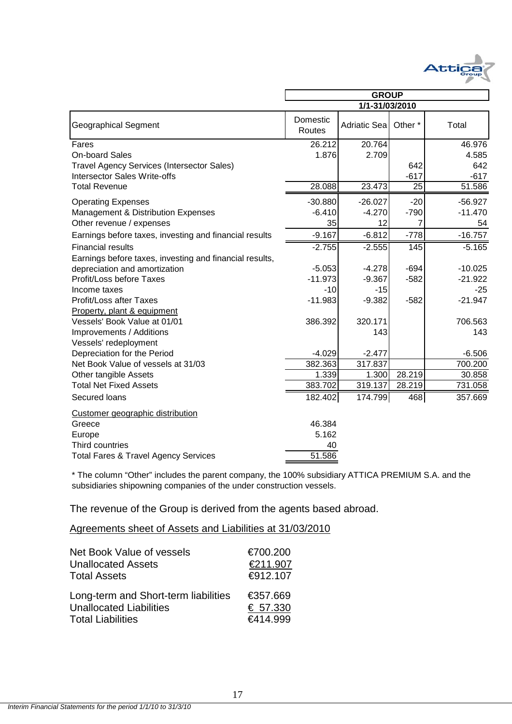

|                                                         | <b>GROUP</b>       |              |                    |           |  |  |
|---------------------------------------------------------|--------------------|--------------|--------------------|-----------|--|--|
|                                                         | 1/1-31/03/2010     |              |                    |           |  |  |
| <b>Geographical Segment</b>                             | Domestic<br>Routes | Adriatic Sea | Other <sup>*</sup> | Total     |  |  |
| Fares                                                   | 26.212             | 20.764       |                    | 46.976    |  |  |
| <b>On-board Sales</b>                                   | 1.876              | 2.709        |                    | 4.585     |  |  |
| <b>Travel Agency Services (Intersector Sales)</b>       |                    |              | 642                | 642       |  |  |
| <b>Intersector Sales Write-offs</b>                     |                    |              | $-617$             | $-617$    |  |  |
| <b>Total Revenue</b>                                    | 28.088             | 23.473       | $\overline{25}$    | 51.586    |  |  |
| <b>Operating Expenses</b>                               | $-30.880$          | $-26.027$    | $-20$              | $-56.927$ |  |  |
| Management & Distribution Expenses                      | $-6.410$           | $-4.270$     | $-790$             | $-11.470$ |  |  |
| Other revenue / expenses                                | 35                 | 12           | 7                  | 54        |  |  |
| Earnings before taxes, investing and financial results  | $-9.167$           | $-6.812$     | $-778$             | $-16.757$ |  |  |
| <b>Financial results</b>                                | $-2.755$           | $-2.555$     | $\frac{145}{145}$  | $-5.165$  |  |  |
| Earnings before taxes, investing and financial results, |                    |              |                    |           |  |  |
| depreciation and amortization                           | $-5.053$           | $-4.278$     | $-694$             | $-10.025$ |  |  |
| Profit/Loss before Taxes                                | $-11.973$          | $-9.367$     | $-582$             | $-21.922$ |  |  |
| Income taxes                                            | $-10$              | $-15$        |                    | $-25$     |  |  |
| Profit/Loss after Taxes                                 | $-11.983$          | $-9.382$     | $-582$             | $-21.947$ |  |  |
| Property, plant & equipment                             |                    |              |                    |           |  |  |
| Vessels' Book Value at 01/01                            | 386.392            | 320.171      |                    | 706.563   |  |  |
| Improvements / Additions                                |                    | 143          |                    | 143       |  |  |
| Vessels' redeployment                                   |                    |              |                    |           |  |  |
| Depreciation for the Period                             | $-4.029$           | $-2.477$     |                    | $-6.506$  |  |  |
| Net Book Value of vessels at 31/03                      | 382.363            | 317.837      |                    | 700.200   |  |  |
| Other tangible Assets                                   | 1.339              | 1.300        | 28.219             | 30.858    |  |  |
| <b>Total Net Fixed Assets</b>                           | 383.702            | 319.137      | 28.219             | 731.058   |  |  |
| Secured loans                                           | 182.402            | 174.799      | 468                | 357.669   |  |  |
| Customer geographic distribution                        |                    |              |                    |           |  |  |
| Greece                                                  | 46.384             |              |                    |           |  |  |
| Europe                                                  | 5.162              |              |                    |           |  |  |
| Third countries                                         | 40                 |              |                    |           |  |  |
| <b>Total Fares &amp; Travel Agency Services</b>         | 51.586             |              |                    |           |  |  |

\* The column "Other" includes the parent company, the 100% subsidiary ATTICA PREMIUM S.A. and the subsidiaries shipowning companies of the under construction vessels.

The revenue of the Group is derived from the agents based abroad.

## Agreements sheet of Assets and Liabilities at 31/03/2010

| Net Book Value of vessels            | €700.200 |
|--------------------------------------|----------|
| <b>Unallocated Assets</b>            | €211.907 |
| <b>Total Assets</b>                  | €912.107 |
| Long-term and Short-term liabilities | €357,669 |
| <b>Unallocated Liabilities</b>       | € 57.330 |
| <b>Total Liabilities</b>             | €414.999 |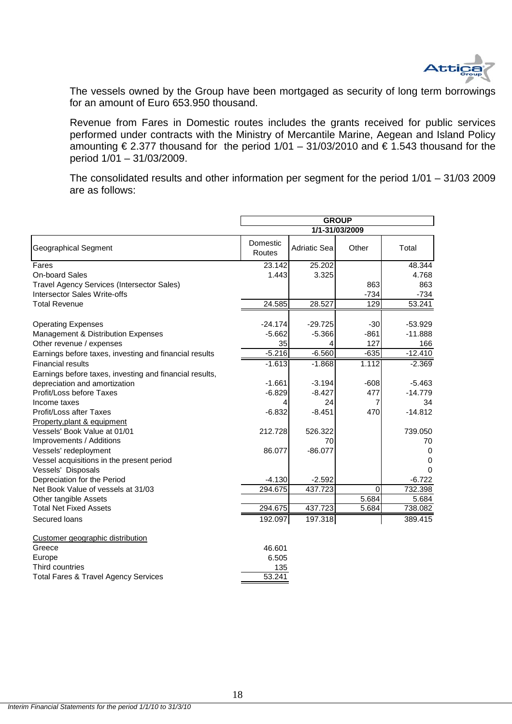

The vessels owned by the Group have been mortgaged as security of long term borrowings for an amount of Euro 653.950 thousand.

Revenue from Fares in Domestic routes includes the grants received for public services performed under contracts with the Ministry of Mercantile Marine, Aegean and Island Policy amounting  $\epsilon$  2.377 thousand for the period 1/01 – 31/03/2010 and  $\epsilon$  1.543 thousand for the period 1/01 – 31/03/2009.

The consolidated results and other information per segment for the period 1/01 – 31/03 2009 are as follows:

|                                                         | <b>GROUP</b>       |                     |                |           |  |
|---------------------------------------------------------|--------------------|---------------------|----------------|-----------|--|
|                                                         |                    |                     | 1/1-31/03/2009 |           |  |
| Geographical Segment                                    | Domestic<br>Routes | <b>Adriatic Sea</b> | Other          | Total     |  |
| Fares                                                   | 23.142             | 25.202              |                | 48.344    |  |
| <b>On-board Sales</b>                                   | 1.443              | 3.325               |                | 4.768     |  |
| Travel Agency Services (Intersector Sales)              |                    |                     | 863            | 863       |  |
| <b>Intersector Sales Write-offs</b>                     |                    |                     | $-734$         | $-734$    |  |
| <b>Total Revenue</b>                                    | 24.585             | 28.527              | 129            | 53.241    |  |
| <b>Operating Expenses</b>                               | $-24.174$          | $-29.725$           | $-30$          | $-53.929$ |  |
| Management & Distribution Expenses                      | $-5.662$           | $-5.366$            | $-861$         | $-11.888$ |  |
| Other revenue / expenses                                | 35                 | 4                   | 127            | 166       |  |
| Earnings before taxes, investing and financial results  | $-5.216$           | $-6.560$            | $-635$         | $-12.410$ |  |
| <b>Financial results</b>                                | $-1.613$           | $-1.868$            | 1.112          | $-2.369$  |  |
| Earnings before taxes, investing and financial results, |                    |                     |                |           |  |
| depreciation and amortization                           | $-1.661$           | $-3.194$            | $-608$         | $-5.463$  |  |
| Profit/Loss before Taxes                                | $-6.829$           | $-8.427$            | 477            | $-14.779$ |  |
| Income taxes                                            |                    | 24                  | 7              | 34        |  |
| Profit/Loss after Taxes                                 | $-6.832$           | $-8.451$            | 470            | $-14.812$ |  |
| Property, plant & equipment                             |                    |                     |                |           |  |
| Vessels' Book Value at 01/01                            | 212.728            | 526.322             |                | 739.050   |  |
| Improvements / Additions                                |                    | 70                  |                | 70        |  |
| Vessels' redeployment                                   | 86.077             | $-86.077$           |                | 0         |  |
| Vessel acquisitions in the present period               |                    |                     |                | 0         |  |
| Vessels' Disposals                                      |                    |                     |                | $\Omega$  |  |
| Depreciation for the Period                             | $-4.130$           | $-2.592$            |                | $-6.722$  |  |
| Net Book Value of vessels at 31/03                      | 294.675            | 437.723             | $\Omega$       | 732.398   |  |
| Other tangible Assets                                   |                    |                     | 5.684          | 5.684     |  |
| <b>Total Net Fixed Assets</b>                           | 294.675            | 437.723             | 5.684          | 738.082   |  |
| Secured loans                                           | 192.097            | 197.318             |                | 389.415   |  |
| Customer geographic distribution                        |                    |                     |                |           |  |
| Greece                                                  | 46.601             |                     |                |           |  |
| Europe                                                  | 6.505              |                     |                |           |  |
| Third countries                                         | 135                |                     |                |           |  |
| <b>Total Fares &amp; Travel Agency Services</b>         | 53.241             |                     |                |           |  |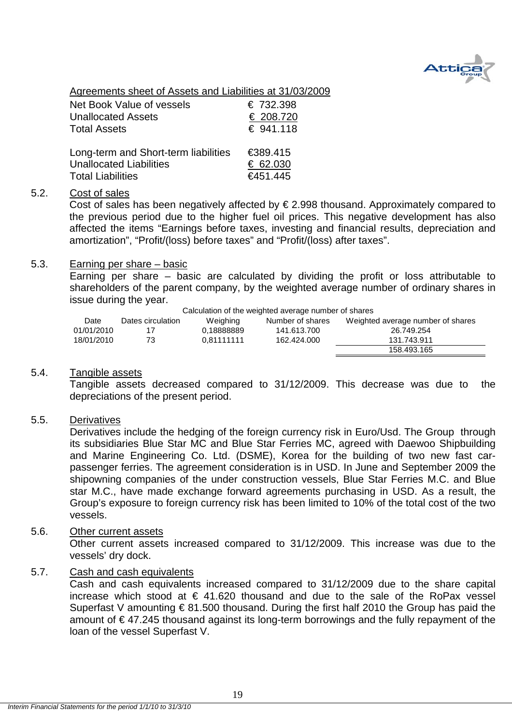

Agreements sheet of Assets and Liabilities at 31/03/2009

| Net Book Value of vessels            | € 732.398 |
|--------------------------------------|-----------|
| <b>Unallocated Assets</b>            | € 208.720 |
| <b>Total Assets</b>                  | € 941.118 |
| Long-term and Short-term liabilities | €389.415  |
| <b>Unallocated Liabilities</b>       | € 62.030  |
| <b>Total Liabilities</b>             | €451.445  |

### 5.2. Cost of sales

Cost of sales has been negatively affected by  $\epsilon$  2.998 thousand. Approximately compared to the previous period due to the higher fuel oil prices. This negative development has also affected the items "Earnings before taxes, investing and financial results, depreciation and amortization", "Profit/(loss) before taxes" and "Profit/(loss) after taxes".

### 5.3. Earning per share – basic

Earning per share – basic are calculated by dividing the profit or loss attributable to shareholders of the parent company, by the weighted average number of ordinary shares in issue during the year.

Calculation of the weighted average number of shares

|            |                   |            | <u>advancement of the thoughteen diverside from the official ac</u> |                                   |
|------------|-------------------|------------|---------------------------------------------------------------------|-----------------------------------|
| Date       | Dates circulation | Weighing   | Number of shares                                                    | Weighted average number of shares |
| 01/01/2010 |                   | 0.18888889 | 141.613.700                                                         | 26.749.254                        |
| 18/01/2010 | 73                | 0.81111111 | 162.424.000                                                         | 131.743.911                       |
|            |                   |            |                                                                     | 158.493.165                       |

### 5.4. Tangible assets

Tangible assets decreased compared to 31/12/2009. This decrease was due to the depreciations of the present period.

### 5.5. Derivatives

Derivatives include the hedging of the foreign currency risk in Euro/Usd. The Group through its subsidiaries Blue Star MC and Blue Star Ferries MC, agreed with Daewoo Shipbuilding and Marine Engineering Co. Ltd. (DSME), Korea for the building of two new fast carpassenger ferries. The agreement consideration is in USD. In June and September 2009 the shipowning companies of the under construction vessels, Blue Star Ferries M.C. and Blue star M.C., have made exchange forward agreements purchasing in USD. As a result, the Group's exposure to foreign currency risk has been limited to 10% of the total cost of the two vessels.

### 5.6. Other current assets

Other current assets increased compared to 31/12/2009. This increase was due to the vessels' dry dock.

### 5.7. Cash and cash equivalents

Cash and cash equivalents increased compared to 31/12/2009 due to the share capital increase which stood at  $\epsilon$  41.620 thousand and due to the sale of the RoPax vessel Superfast V amounting € 81.500 thousand. During the first half 2010 the Group has paid the amount of € 47.245 thousand against its long-term borrowings and the fully repayment of the loan of the vessel Superfast V.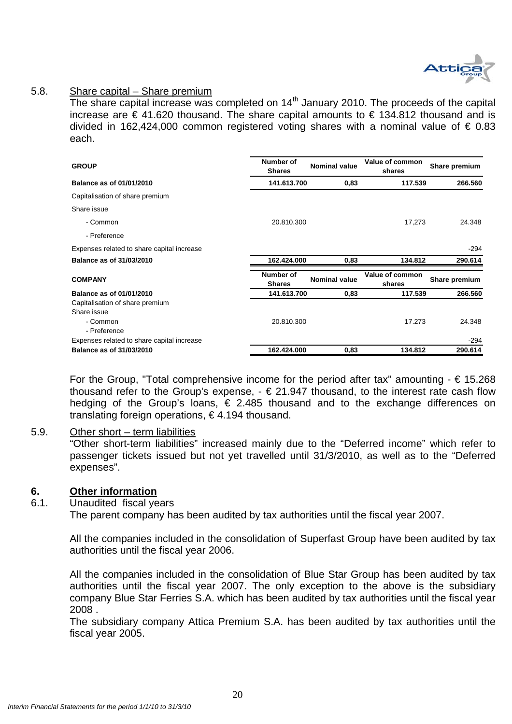

### 5.8. Share capital – Share premium

The share capital increase was completed on 14<sup>th</sup> January 2010. The proceeds of the capital increase are € 41.620 thousand. The share capital amounts to € 134.812 thousand and is divided in 162,424,000 common registered voting shares with a nominal value of € 0.83 each.

| <b>GROUP</b>                               | Number of<br><b>Shares</b> | Value of common<br><b>Nominal value</b> |                           | Share premium |
|--------------------------------------------|----------------------------|-----------------------------------------|---------------------------|---------------|
| Balance as of 01/01/2010                   | 141.613.700                | 0,83                                    | 117.539                   | 266.560       |
| Capitalisation of share premium            |                            |                                         |                           |               |
| Share issue                                |                            |                                         |                           |               |
| - Common                                   | 20.810.300                 |                                         | 17,273                    | 24.348        |
| - Preference                               |                            |                                         |                           |               |
| Expenses related to share capital increase |                            |                                         |                           | $-294$        |
| Balance as of 31/03/2010                   | 162.424.000                | 0,83                                    | 134.812                   | 290.614       |
| <b>COMPANY</b>                             | Number of<br><b>Shares</b> | <b>Nominal value</b>                    | Value of common<br>shares | Share premium |
| <b>Balance as of 01/01/2010</b>            | 141.613.700                | 0,83                                    | 117.539                   | 266.560       |
| Capitalisation of share premium            |                            |                                         |                           |               |
| Share issue                                |                            |                                         |                           |               |
| - Common                                   | 20.810.300                 |                                         | 17.273                    | 24.348        |
| - Preference                               |                            |                                         |                           |               |
| Expenses related to share capital increase |                            |                                         |                           | $-294$        |
| Balance as of 31/03/2010                   | 162.424.000                | 0,83                                    | 134.812                   | 290.614       |

For the Group, "Total comprehensive income for the period after tax" amounting  $- \epsilon$  15.268 thousand refer to the Group's expense,  $- \epsilon$  21.947 thousand, to the interest rate cash flow hedging of the Group's loans, € 2.485 thousand and to the exchange differences on translating foreign operations, € 4.194 thousand.

### 5.9. Other short – term liabilities

"Other short-term liabilities" increased mainly due to the "Deferred income" which refer to passenger tickets issued but not yet travelled until 31/3/2010, as well as to the "Deferred expenses".

### **6. Other information**

### 6.1. Unaudited fiscal years

The parent company has been audited by tax authorities until the fiscal year 2007.

All the companies included in the consolidation of Superfast Group have been audited by tax authorities until the fiscal year 2006.

All the companies included in the consolidation of Blue Star Group has been audited by tax authorities until the fiscal year 2007. The only exception to the above is the subsidiary company Blue Star Ferries S.A. which has been audited by tax authorities until the fiscal year 2008 .

The subsidiary company Attica Premium S.A. has been audited by tax authorities until the fiscal year 2005.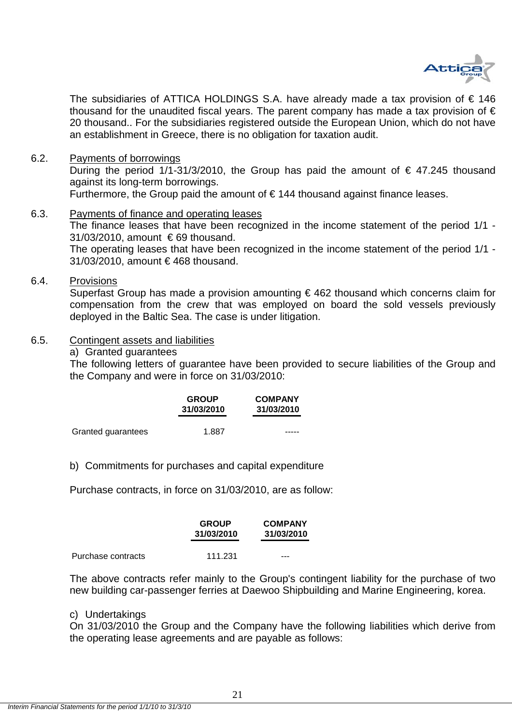

The subsidiaries of ATTICA HOLDINGS S.A. have already made a tax provision of  $\epsilon$  146 thousand for the unaudited fiscal years. The parent company has made a tax provision of  $\epsilon$ 20 thousand.. For the subsidiaries registered outside the European Union, which do not have an establishment in Greece, there is no obligation for taxation audit.

6.2. Payments of borrowings

During the period 1/1-31/3/2010, the Group has paid the amount of  $\epsilon$  47.245 thousand against its long-term borrowings.

Furthermore, the Group paid the amount of  $\epsilon$  144 thousand against finance leases.

- 6.3. Payments of finance and operating leases The finance leases that have been recognized in the income statement of the period 1/1 -31/03/2010, amount € 69 thousand. The operating leases that have been recognized in the income statement of the period 1/1 - 31/03/2010, amount € 468 thousand.
- 6.4. Provisions

Superfast Group has made a provision amounting  $\epsilon$  462 thousand which concerns claim for compensation from the crew that was employed on board the sold vessels previously deployed in the Baltic Sea. The case is under litigation.

- 6.5. Contingent assets and liabilities
	- a) Granted guarantees

The following letters of guarantee have been provided to secure liabilities of the Group and the Company and were in force on 31/03/2010:

|                    | <b>GROUP</b><br>31/03/2010 | <b>COMPANY</b><br>31/03/2010 |
|--------------------|----------------------------|------------------------------|
| Granted guarantees | 1.887                      |                              |

b) Commitments for purchases and capital expenditure

Purchase contracts, in force on 31/03/2010, are as follow:

|                    | <b>GROUP</b><br>31/03/2010 | <b>COMPANY</b><br>31/03/2010 |
|--------------------|----------------------------|------------------------------|
| Purchase contracts | 111.231                    | ---                          |

The above contracts refer mainly to the Group's contingent liability for the purchase of two new building car-passenger ferries at Daewoo Shipbuilding and Marine Engineering, korea.

### c) Undertakings

On 31/03/2010 the Group and the Company have the following liabilities which derive from the operating lease agreements and are payable as follows: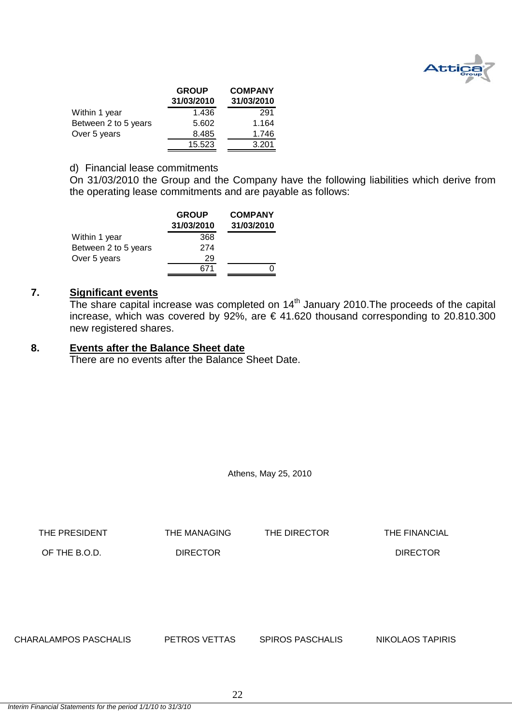

|                      | <b>GROUP</b><br>31/03/2010 | <b>COMPANY</b><br>31/03/2010 |
|----------------------|----------------------------|------------------------------|
| Within 1 year        | 1.436                      | 291                          |
| Between 2 to 5 years | 5.602                      | 1.164                        |
| Over 5 years         | 8.485                      | 1.746                        |
|                      | 15.523                     | 3.201                        |

### d) Financial lease commitments

On 31/03/2010 the Group and the Company have the following liabilities which derive from the operating lease commitments and are payable as follows:

|                      | <b>GROUP</b><br>31/03/2010 | <b>COMPANY</b><br>31/03/2010 |
|----------------------|----------------------------|------------------------------|
| Within 1 year        | 368                        |                              |
| Between 2 to 5 years | 274                        |                              |
| Over 5 years         | 29                         |                              |
|                      |                            |                              |

### **7. Significant events**

The share capital increase was completed on 14<sup>th</sup> January 2010. The proceeds of the capital increase, which was covered by 92%, are  $\epsilon$  41.620 thousand corresponding to 20.810.300 new registered shares.

### **8. Events after the Balance Sheet date**

There are no events after the Balance Sheet Date.

Athens, May 25, 2010

THE PRESIDENT THE MANAGING THE DIRECTOR THE FINANCIAL OF THE B.O.D. DIRECTOR DIRECTOR CHARALAMPOS PASCHALIS PETROS VETTAS SPIROS PASCHALIS NIKOLAOS TAPIRIS